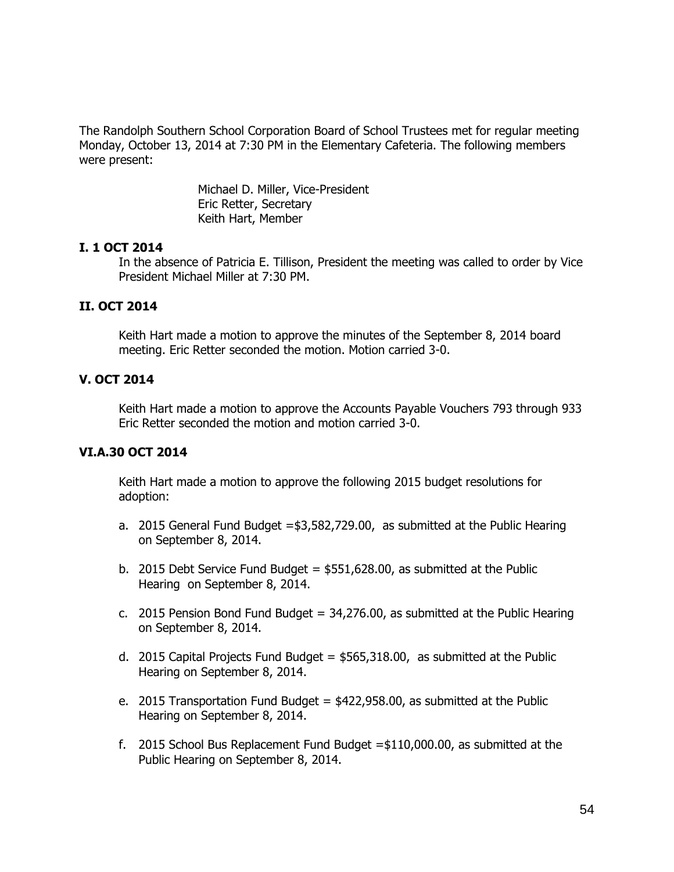The Randolph Southern School Corporation Board of School Trustees met for regular meeting Monday, October 13, 2014 at 7:30 PM in the Elementary Cafeteria. The following members were present:

> Michael D. Miller, Vice-President Eric Retter, Secretary Keith Hart, Member

## **I. 1 OCT 2014**

In the absence of Patricia E. Tillison, President the meeting was called to order by Vice President Michael Miller at 7:30 PM.

## **II. OCT 2014**

Keith Hart made a motion to approve the minutes of the September 8, 2014 board meeting. Eric Retter seconded the motion. Motion carried 3-0.

#### **V. OCT 2014**

Keith Hart made a motion to approve the Accounts Payable Vouchers 793 through 933 Eric Retter seconded the motion and motion carried 3-0.

#### **VI.A.30 OCT 2014**

Keith Hart made a motion to approve the following 2015 budget resolutions for adoption:

- a. 2015 General Fund Budget =\$3,582,729.00, as submitted at the Public Hearing on September 8, 2014.
- b. 2015 Debt Service Fund Budget = \$551,628.00, as submitted at the Public Hearing on September 8, 2014.
- c. 2015 Pension Bond Fund Budget = 34,276.00, as submitted at the Public Hearing on September 8, 2014.
- d. 2015 Capital Projects Fund Budget =  $$565,318.00$ , as submitted at the Public Hearing on September 8, 2014.
- e. 2015 Transportation Fund Budget =  $$422,958.00$ , as submitted at the Public Hearing on September 8, 2014.
- f. 2015 School Bus Replacement Fund Budget =\$110,000.00, as submitted at the Public Hearing on September 8, 2014.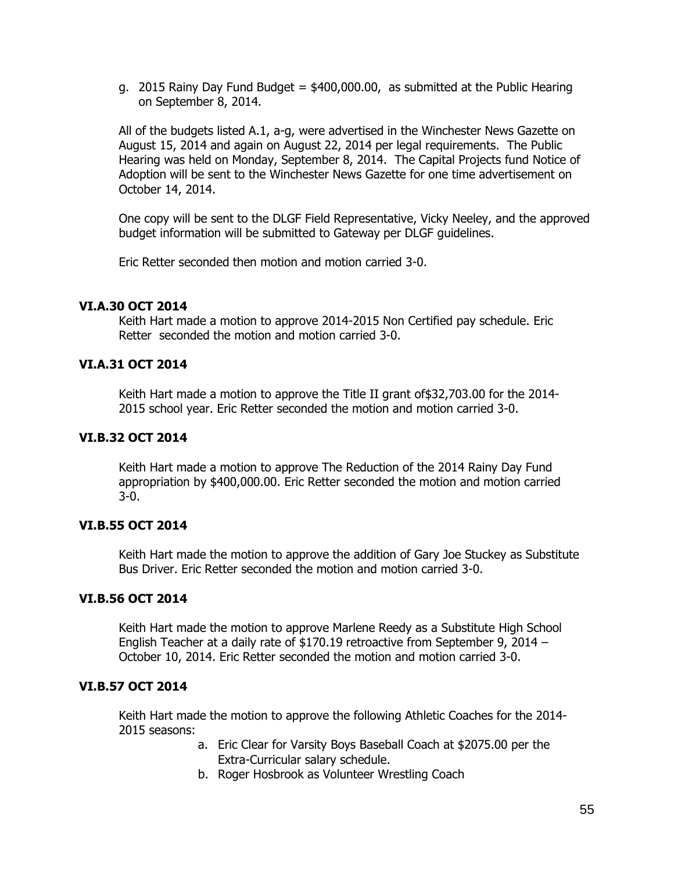g. 2015 Rainy Day Fund Budget  $=$  \$400,000.00, as submitted at the Public Hearing on September 8, 2014.

All of the budgets listed A.1, a-g, were advertised in the Winchester News Gazette on August 15, 2014 and again on August 22, 2014 per legal requirements. The Public Hearing was held on Monday, September 8, 2014. The Capital Projects fund Notice of Adoption will be sent to the Winchester News Gazette for one time advertisement on October 14, 2014.

One copy will be sent to the DLGF Field Representative, Vicky Neeley, and the approved budget information will be submitted to Gateway per DLGF guidelines.

Eric Retter seconded then motion and motion carried 3-0.

## **VI.A.30 OCT 2014**

Keith Hart made a motion to approve 2014-2015 Non Certified pay schedule. Eric Retter seconded the motion and motion carried 3-0.

## **VI.A.31 OCT 2014**

Keith Hart made a motion to approve the Title II grant of\$32,703.00 for the 2014- 2015 school year. Eric Retter seconded the motion and motion carried 3-0.

#### **VI.B.32 OCT 2014**

Keith Hart made a motion to approve The Reduction of the 2014 Rainy Day Fund appropriation by \$400,000.00. Eric Retter seconded the motion and motion carried 3-0.

#### **VI.B.55 OCT 2014**

Keith Hart made the motion to approve the addition of Gary Joe Stuckey as Substitute Bus Driver. Eric Retter seconded the motion and motion carried 3-0.

#### **VI.B.56 OCT 2014**

Keith Hart made the motion to approve Marlene Reedy as a Substitute High School English Teacher at a daily rate of \$170.19 retroactive from September 9, 2014 – October 10, 2014. Eric Retter seconded the motion and motion carried 3-0.

## **VI.B.57 OCT 2014**

Keith Hart made the motion to approve the following Athletic Coaches for the 2014- 2015 seasons:

- a. Eric Clear for Varsity Boys Baseball Coach at \$2075.00 per the Extra-Curricular salary schedule.
- b. Roger Hosbrook as Volunteer Wrestling Coach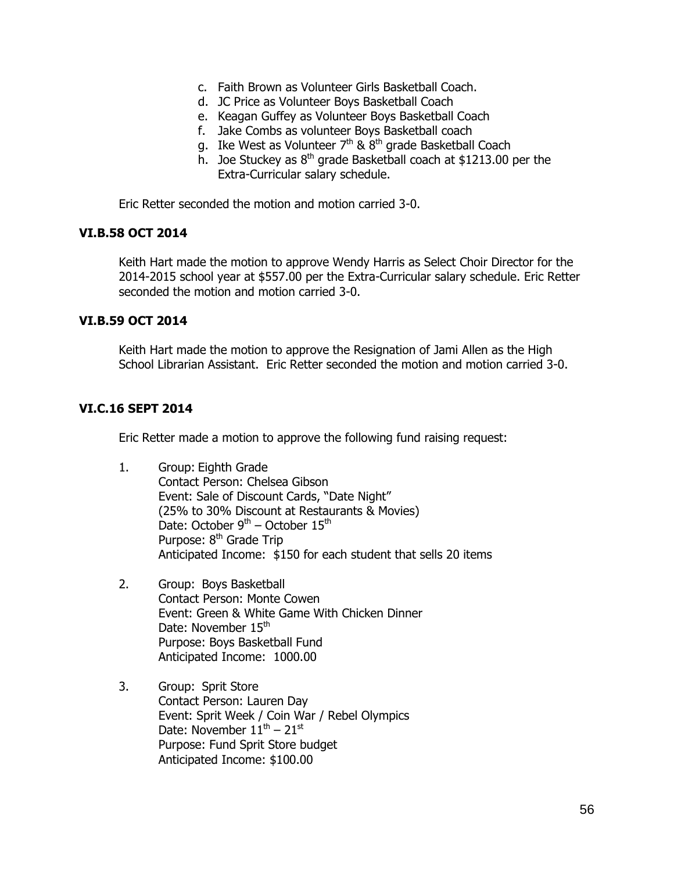- c. Faith Brown as Volunteer Girls Basketball Coach.
- d. JC Price as Volunteer Boys Basketball Coach
- e. Keagan Guffey as Volunteer Boys Basketball Coach
- f. Jake Combs as volunteer Boys Basketball coach
- g. Ike West as Volunteer  $7<sup>th</sup>$  &  $8<sup>th</sup>$  grade Basketball Coach
- h. Joe Stuckey as  $8<sup>th</sup>$  grade Basketball coach at \$1213.00 per the Extra-Curricular salary schedule.

Eric Retter seconded the motion and motion carried 3-0.

## **VI.B.58 OCT 2014**

Keith Hart made the motion to approve Wendy Harris as Select Choir Director for the 2014-2015 school year at \$557.00 per the Extra-Curricular salary schedule. Eric Retter seconded the motion and motion carried 3-0.

## **VI.B.59 OCT 2014**

Keith Hart made the motion to approve the Resignation of Jami Allen as the High School Librarian Assistant. Eric Retter seconded the motion and motion carried 3-0.

## **VI.C.16 SEPT 2014**

Eric Retter made a motion to approve the following fund raising request:

- 1. Group: Eighth Grade Contact Person: Chelsea Gibson Event: Sale of Discount Cards, "Date Night" (25% to 30% Discount at Restaurants & Movies) Date: October 9<sup>th</sup> – October 15<sup>th</sup> Purpose:  $8<sup>th</sup>$  Grade Trip Anticipated Income: \$150 for each student that sells 20 items
- 2. Group: Boys Basketball Contact Person: Monte Cowen Event: Green & White Game With Chicken Dinner Date: November 15<sup>th</sup> Purpose: Boys Basketball Fund Anticipated Income: 1000.00
- 3. Group: Sprit Store Contact Person: Lauren Day Event: Sprit Week / Coin War / Rebel Olympics Date: November  $11^{\text{th}}$  –  $21^{\text{st}}$ Purpose: Fund Sprit Store budget Anticipated Income: \$100.00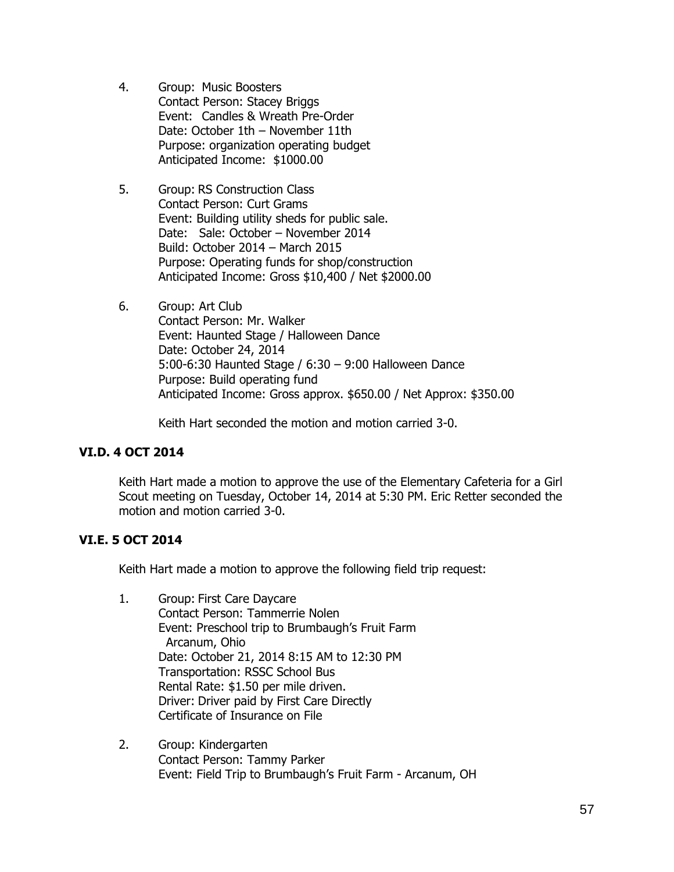- 4. Group: Music Boosters Contact Person: Stacey Briggs Event: Candles & Wreath Pre-Order Date: October 1th – November 11th Purpose: organization operating budget Anticipated Income: \$1000.00
- 5. Group: RS Construction Class Contact Person: Curt Grams Event: Building utility sheds for public sale. Date: Sale: October – November 2014 Build: October 2014 – March 2015 Purpose: Operating funds for shop/construction Anticipated Income: Gross \$10,400 / Net \$2000.00
- 6. Group: Art Club Contact Person: Mr. Walker Event: Haunted Stage / Halloween Dance Date: October 24, 2014 5:00-6:30 Haunted Stage / 6:30 – 9:00 Halloween Dance Purpose: Build operating fund Anticipated Income: Gross approx. \$650.00 / Net Approx: \$350.00

Keith Hart seconded the motion and motion carried 3-0.

# **VI.D. 4 OCT 2014**

Keith Hart made a motion to approve the use of the Elementary Cafeteria for a Girl Scout meeting on Tuesday, October 14, 2014 at 5:30 PM. Eric Retter seconded the motion and motion carried 3-0.

## **VI.E. 5 OCT 2014**

Keith Hart made a motion to approve the following field trip request:

- 1. Group: First Care Daycare Contact Person: Tammerrie Nolen Event: Preschool trip to Brumbaugh's Fruit Farm Arcanum, Ohio Date: October 21, 2014 8:15 AM to 12:30 PM Transportation: RSSC School Bus Rental Rate: \$1.50 per mile driven. Driver: Driver paid by First Care Directly Certificate of Insurance on File
- 2. Group: Kindergarten Contact Person: Tammy Parker Event: Field Trip to Brumbaugh's Fruit Farm - Arcanum, OH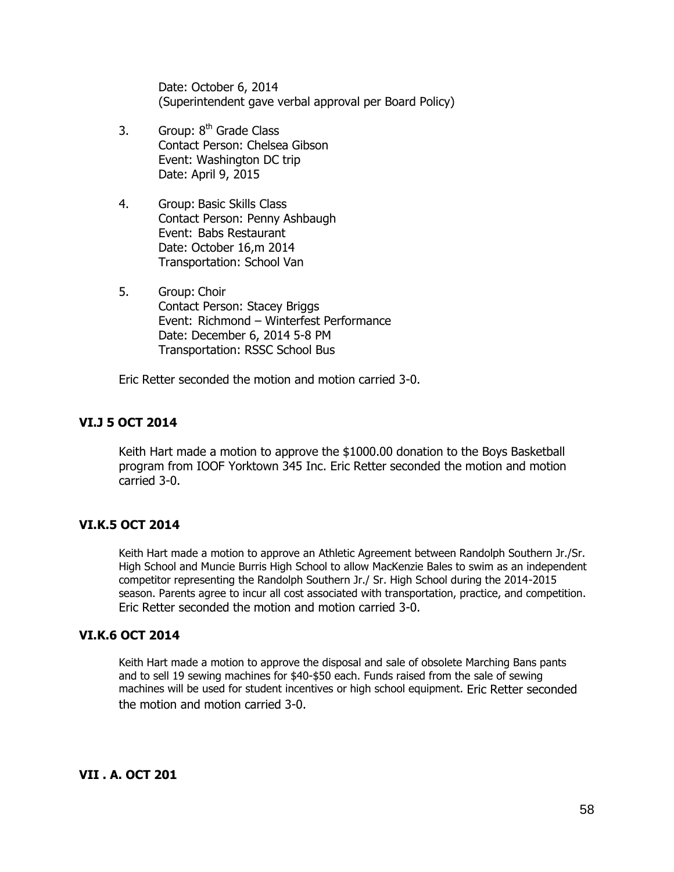Date: October 6, 2014 (Superintendent gave verbal approval per Board Policy)

- 3. Group:  $8<sup>th</sup>$  Grade Class Contact Person: Chelsea Gibson Event: Washington DC trip Date: April 9, 2015
- 4. Group: Basic Skills Class Contact Person: Penny Ashbaugh Event: Babs Restaurant Date: October 16,m 2014 Transportation: School Van
- 5. Group: Choir Contact Person: Stacey Briggs Event: Richmond – Winterfest Performance Date: December 6, 2014 5-8 PM Transportation: RSSC School Bus

Eric Retter seconded the motion and motion carried 3-0.

## **VI.J 5 OCT 2014**

Keith Hart made a motion to approve the \$1000.00 donation to the Boys Basketball program from IOOF Yorktown 345 Inc. Eric Retter seconded the motion and motion carried 3-0.

#### **VI.K.5 OCT 2014**

Keith Hart made a motion to approve an Athletic Agreement between Randolph Southern Jr./Sr. High School and Muncie Burris High School to allow MacKenzie Bales to swim as an independent competitor representing the Randolph Southern Jr./ Sr. High School during the 2014-2015 season. Parents agree to incur all cost associated with transportation, practice, and competition. Eric Retter seconded the motion and motion carried 3-0.

#### **VI.K.6 OCT 2014**

Keith Hart made a motion to approve the disposal and sale of obsolete Marching Bans pants and to sell 19 sewing machines for \$40-\$50 each. Funds raised from the sale of sewing machines will be used for student incentives or high school equipment. Eric Retter seconded the motion and motion carried 3-0.

#### **VII . A. OCT 201**